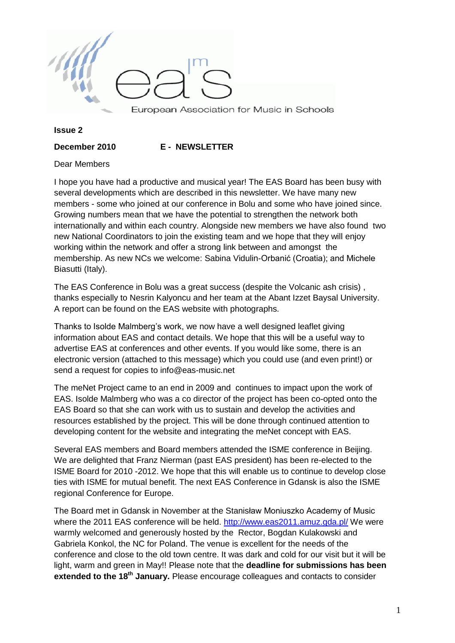

#### **Issue 2**

**December 2010 E - NEWSLETTER**

#### Dear Members

I hope you have had a productive and musical year! The EAS Board has been busy with several developments which are described in this newsletter. We have many new members - some who joined at our conference in Bolu and some who have joined since. Growing numbers mean that we have the potential to strengthen the network both internationally and within each country. Alongside new members we have also found two new National Coordinators to join the existing team and we hope that they will enjoy working within the network and offer a strong link between and amongst the membership. As new NCs we welcome: Sabina Vidulin-Orbanić (Croatia); and Michele Biasutti (Italy).

The EAS Conference in Bolu was a great success (despite the Volcanic ash crisis) , thanks especially to Nesrin Kalyoncu and her team at the Abant Izzet Baysal University. A report can be found on the EAS website with photographs.

Thanks to Isolde Malmberg"s work, we now have a well designed leaflet giving information about EAS and contact details. We hope that this will be a useful way to advertise EAS at conferences and other events. If you would like some, there is an electronic version (attached to this message) which you could use (and even print!) or send a request for copies to info@eas-music.net

The meNet Project came to an end in 2009 and continues to impact upon the work of EAS. Isolde Malmberg who was a co director of the project has been co-opted onto the EAS Board so that she can work with us to sustain and develop the activities and resources established by the project. This will be done through continued attention to developing content for the website and integrating the meNet concept with EAS.

Several EAS members and Board members attended the ISME conference in Beijing. We are delighted that Franz Nierman (past EAS president) has been re-elected to the ISME Board for 2010 -2012. We hope that this will enable us to continue to develop close ties with ISME for mutual benefit. The next EAS Conference in Gdansk is also the ISME regional Conference for Europe.

The Board met in Gdansk in November at the Stanisław Moniuszko Academy of Music where the 2011 EAS conference will be held. <http://www.eas2011.amuz.gda.pl/> We were warmly welcomed and generously hosted by the Rector, Bogdan Kulakowski and Gabriela Konkol, the NC for Poland. The venue is excellent for the needs of the conference and close to the old town centre. It was dark and cold for our visit but it will be light, warm and green in May!! Please note that the **deadline for submissions has been extended to the 18th January.** Please encourage colleagues and contacts to consider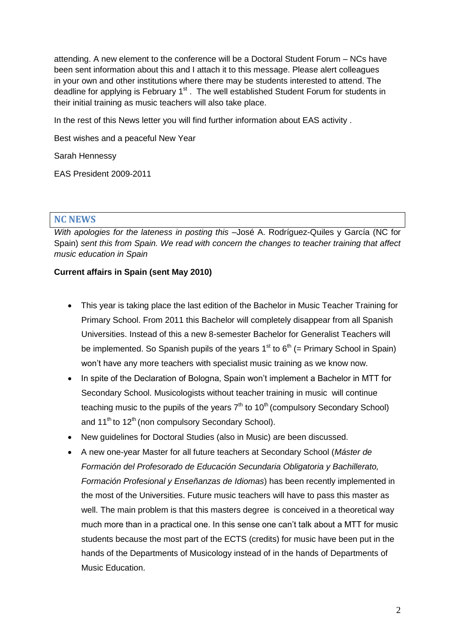attending. A new element to the conference will be a Doctoral Student Forum – NCs have been sent information about this and I attach it to this message. Please alert colleagues in your own and other institutions where there may be students interested to attend. The deadline for applying is February 1<sup>st</sup>. The well established Student Forum for students in their initial training as music teachers will also take place.

In the rest of this News letter you will find further information about EAS activity .

Best wishes and a peaceful New Year

Sarah Hennessy

EAS President 2009-2011

#### **NC NEWS**

*With apologies for the lateness in posting this –*José A. Rodríguez-Quiles y García (NC for Spain) *sent this from Spain. We read with concern the changes to teacher training that affect music education in Spain*

#### **Current affairs in Spain (sent May 2010)**

- This year is taking place the last edition of the Bachelor in Music Teacher Training for Primary School. From 2011 this Bachelor will completely disappear from all Spanish Universities. Instead of this a new 8-semester Bachelor for Generalist Teachers will be implemented. So Spanish pupils of the years  $1<sup>st</sup>$  to  $6<sup>th</sup>$  (= Primary School in Spain) won"t have any more teachers with specialist music training as we know now.
- In spite of the Declaration of Bologna, Spain won't implement a Bachelor in MTT for Secondary School. Musicologists without teacher training in music will continue teaching music to the pupils of the years  $7<sup>th</sup>$  to 10<sup>th</sup> (compulsory Secondary School) and 11<sup>th</sup> to 12<sup>th</sup> (non compulsory Secondary School).
- New guidelines for Doctoral Studies (also in Music) are been discussed.
- A new one-year Master for all future teachers at Secondary School (*Máster de Formación del Profesorado de Educación Secundaria Obligatoria y Bachillerato, Formación Profesional y Enseñanzas de Idiomas*) has been recently implemented in the most of the Universities. Future music teachers will have to pass this master as well. The main problem is that this masters degree is conceived in a theoretical way much more than in a practical one. In this sense one can"t talk about a MTT for music students because the most part of the ECTS (credits) for music have been put in the hands of the Departments of Musicology instead of in the hands of Departments of Music Education.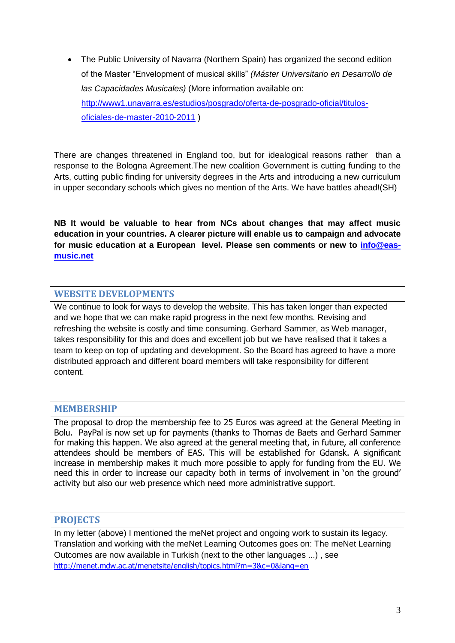The Public University of Navarra (Northern Spain) has organized the second edition of the Master "Envelopment of musical skills" *(Máster Universitario en Desarrollo de las Capacidades Musicales)* (More information available on: [http://www1.unavarra.es/estudios/posgrado/oferta-de-posgrado-oficial/titulos](http://www1.unavarra.es/estudios/posgrado/oferta-de-posgrado-oficial/titulos-oficiales-de-master-2010-2011)[oficiales-de-master-2010-2011](http://www1.unavarra.es/estudios/posgrado/oferta-de-posgrado-oficial/titulos-oficiales-de-master-2010-2011) )

There are changes threatened in England too, but for idealogical reasons rather than a response to the Bologna Agreement.The new coalition Government is cutting funding to the Arts, cutting public finding for university degrees in the Arts and introducing a new curriculum in upper secondary schools which gives no mention of the Arts. We have battles ahead!(SH)

**NB It would be valuable to hear from NCs about changes that may affect music education in your countries. A clearer picture will enable us to campaign and advocate for music education at a European level. Please sen comments or new to [info@eas](mailto:info@eas-music.net)[music.net](mailto:info@eas-music.net)**

# **WEBSITE DEVELOPMENTS**

We continue to look for ways to develop the website. This has taken longer than expected and we hope that we can make rapid progress in the next few months. Revising and refreshing the website is costly and time consuming. Gerhard Sammer, as Web manager, takes responsibility for this and does and excellent job but we have realised that it takes a team to keep on top of updating and development. So the Board has agreed to have a more distributed approach and different board members will take responsibility for different content.

## **MEMBERSHIP**

The proposal to drop the membership fee to 25 Euros was agreed at the General Meeting in Bolu. PayPal is now set up for payments (thanks to Thomas de Baets and Gerhard Sammer for making this happen. We also agreed at the general meeting that, in future, all conference attendees should be members of EAS. This will be established for Gdansk. A significant increase in membership makes it much more possible to apply for funding from the EU. We need this in order to increase our capacity both in terms of involvement in 'on the ground' activity but also our web presence which need more administrative support.

## **PROJECTS**

In my letter (above) I mentioned the meNet project and ongoing work to sustain its legacy. Translation and working with the meNet Learning Outcomes goes on: The meNet Learning Outcomes are now available in Turkish (next to the other languages ...) , see [http://menet.mdw.ac.at/menetsite/english/topics.html?m=3&c=0&lang=en](https://owa.ex.ac.uk/owa/redir.aspx?C=365dfb7e351e498c920cb5be24782fd5&URL=http%3a%2f%2fmenet.mdw.ac.at%2fmenetsite%2fenglish%2ftopics.html%3fm%3d3%26c%3d0%26lang%3den)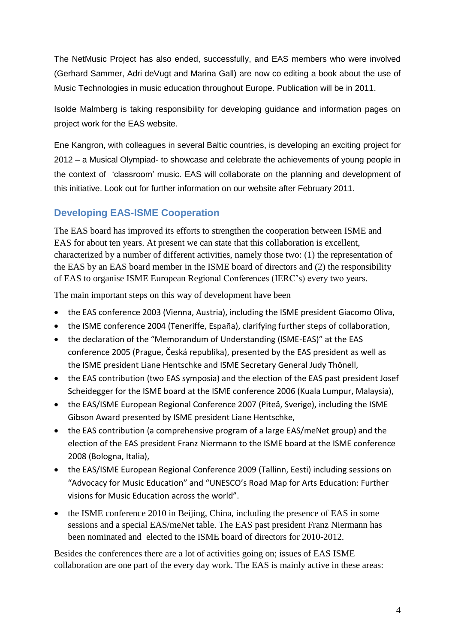The NetMusic Project has also ended, successfully, and EAS members who were involved (Gerhard Sammer, Adri deVugt and Marina Gall) are now co editing a book about the use of Music Technologies in music education throughout Europe. Publication will be in 2011.

Isolde Malmberg is taking responsibility for developing guidance and information pages on project work for the EAS website.

Ene Kangron, with colleagues in several Baltic countries, is developing an exciting project for 2012 – a Musical Olympiad- to showcase and celebrate the achievements of young people in the context of "classroom" music. EAS will collaborate on the planning and development of this initiative. Look out for further information on our website after February 2011.

# **Developing EAS-ISME Cooperation**

The EAS board has improved its efforts to strengthen the cooperation between ISME and EAS for about ten years. At present we can state that this collaboration is excellent, characterized by a number of different activities, namely those two: (1) the representation of the EAS by an EAS board member in the ISME board of directors and (2) the responsibility of EAS to organise ISME European Regional Conferences (IERC's) every two years.

The main important steps on this way of development have been

- the EAS conference 2003 (Vienna, Austria), including the ISME president Giacomo Oliva,
- the ISME conference 2004 (Teneriffe, España), clarifying further steps of collaboration,
- the declaration of the "Memorandum of Understanding (ISME-EAS)" at the EAS conference 2005 (Prague, Česká republika), presented by the EAS president as well as the ISME president Liane Hentschke and ISME Secretary General Judy Thönell,
- the EAS contribution (two EAS symposia) and the election of the EAS past president Josef Scheidegger for the ISME board at the ISME conference 2006 (Kuala Lumpur, Malaysia),
- the EAS/ISME European Regional Conference 2007 (Piteå, Sverige), including the ISME Gibson Award presented by ISME president Liane Hentschke,
- the EAS contribution (a comprehensive program of a large EAS/meNet group) and the election of the EAS president Franz Niermann to the ISME board at the ISME conference 2008 (Bologna, Italia),
- the EAS/ISME European Regional Conference 2009 (Tallinn, Eesti) including sessions on "Advocacy for Music Education" and "UNESCO's Road Map for Arts Education: Further visions for Music Education across the world".
- the ISME conference 2010 in Beijing, China, including the presence of EAS in some sessions and a special EAS/meNet table. The EAS past president Franz Niermann has been nominated and elected to the ISME board of directors for 2010-2012.

Besides the conferences there are a lot of activities going on; issues of EAS ISME collaboration are one part of the every day work. The EAS is mainly active in these areas: